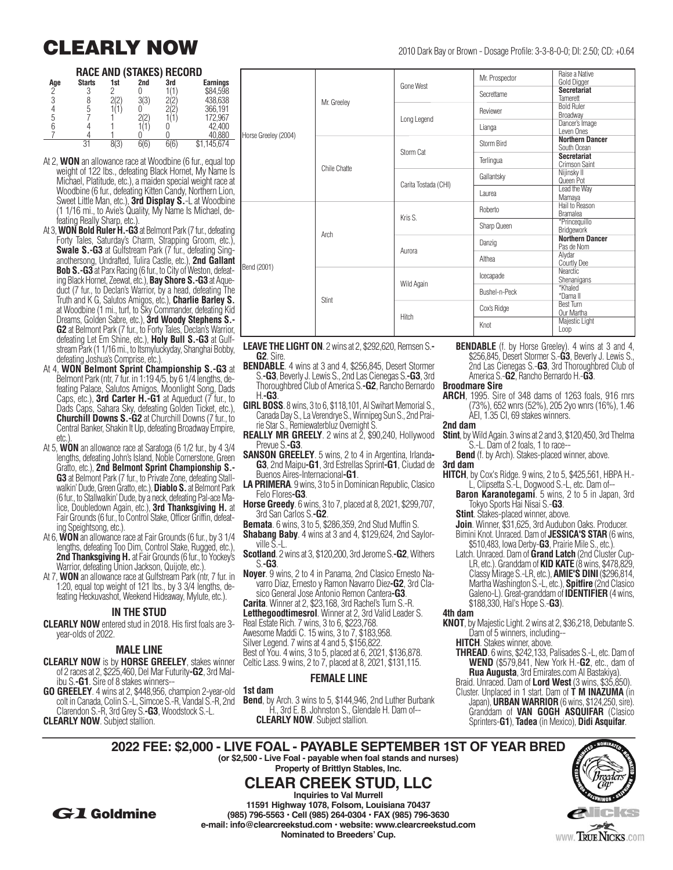### **RACE AND (STAKES) RECORD**

| Age | <b>Starts</b> | 1st | 2nd | 3rd | Earnings |  |  |
|-----|---------------|-----|-----|-----|----------|--|--|
| C   |               |     |     |     | \$84,598 |  |  |
|     |               | (2) | 212 |     | 438,638  |  |  |
|     |               |     |     |     | 366,191  |  |  |
| 5   |               |     |     |     | 172,967  |  |  |
|     |               |     |     |     | 42,400   |  |  |
|     |               |     |     |     |          |  |  |
|     | 21            |     |     |     | 145,674  |  |  |

- At 2, **WON** an allowance race at Woodbine (6 fur., equal top weight of 122 lbs., defeating Black Hornet, My Name Is Michael, Platitude, etc.), a maiden special weight race at Woodbine (6 fur., defeating Kitten Candy, Northern Lion, Sweet Little Man, etc.), **3rd Display S.**-L at Woodbine (1 1/16 mi., to Avie's Quality, My Name Is Michael, defeating Really Sharp, etc.).
- At 3, **WON Bold Ruler H.-G3** at Belmont Park (7 fur., defeating Forty Tales, Saturday's Charm, Strapping Groom, etc.), **Swale S.-G3** at Gulfstream Park (7 fur., defeating Singanothersong, Undrafted, Tulira Castle, etc.), **2nd Gallant Bob S.-G3** at Parx Racing (6 fur., to City of Weston, defeating Black Hornet, Zeewat, etc.), **Bay Shore S.-G3** at Aque duct (7 fur., to Declan's Warrior, by a head, defeating The Truth and K G, Salutos Amigos, etc.), **Charlie Barley S.** at Woodbine (1 mi., turf, to Sky Commander, defeating Kid Dreams, Golden Sabre, etc.), **3rd Woody Stephens S.- G2** at Belmont Park (7 fur., to Forty Tales, Declan's Warrior, defeating Let Em Shine, etc.), **Holy Bull S.-G3** at Gulf stream Park (1 1/16 mi., to Itsmyluckyday, Shanghai Bobby, defeating Joshua's Comprise, etc.).
- At 4, **WON Belmont Sprint Championship S.-G3** at Belmont Park (ntr, 7 fur. in 1:19 4/5, by 6 1/4 lengths, defeating Palace, Salutos Amigos, Moonlight Song, Dads Caps, etc.), **3rd Carter H.-G1** at Aqueduct (7 fur., to Dads Caps, Sahara Sky, defeating Golden Ticket, etc.), **Churchill Downs S.-G2** at Churchill Downs (7 fur., to Central Banker, Shakin It Up, defeating Broadway Empire,  $etc.$ )
- At 5, **WON** an allowance race at Saratoga (6 1/2 fur., by 4 3/4 lengths, defeating John's Island, Noble Cornerstone, Green Gratto, etc.), **2nd Belmont Sprint Championship S.- G3** at Belmont Park (7 fur., to Private Zone, defeating Stallwalkin' Dude, Green Gratto, etc.), **Diablo S.** at Belmont Park (6 fur., to Stallwalkin' Dude, by a neck, defeating Pal-ace Malice, Doubledown Again, etc.), **3rd Thanksgiving H.** at Fair Grounds (6 fur., to Control Stake, Officer Griffin, defeating Speightsong, etc.).
- At 6, **WON** an allowance race at Fair Grounds (6 fur., by 3 1/4 lengths, defeating Too Dim, Control Stake, Rugged, etc.), **2nd Thanksgiving H.** at Fair Grounds (6 fur., to Yockey's Warrior, defeating Union Jackson, Quijote, etc.).
- At 7, **WON** an allowance race at Gulfstream Park (ntr, 7 fur. in 1:20, equal top weight of 121 lbs., by 3 3/4 lengths, de feating Heckuvashot, Weekend Hideaway, Mylute, etc.).

### **IN THE STUD**

**CLEARLY NOW** entered stud in 2018. His first foals are 3 year-olds of 2022.

### **MALE LINE**

- **CLEARLY NOW** is by **HORSE GREELEY**, stakes winner of 2 races at 2, \$225,460, Del Mar Futurity**-G2**, 3rd Malibu S.**-G1**. Sire of 8 stakes winners--
- **GO GREELEY**. 4 wins at 2, \$448,956, champion 2-year-old colt in Canada, Colin S.-L, Simcoe S.-R, Vandal S.-R, 2nd Clarendon S.-R, 3rd Grey S.**-G3**, Woodstock S.-L. **CLEARLY NOW**. Subject stallion.

**CLEARLY NOW** 2010 Dark Bay or Brown - Dosage Profile: 3-3-8-0-0; DI: 2.50; CD: +0.64

|                      | Mr. Greeley  |                      | Mr. Prospector | Raise a Native<br>Gold Digger         |
|----------------------|--------------|----------------------|----------------|---------------------------------------|
|                      |              | Gone West            | Secrettame     | <b>Secretariat</b><br>Tamerett        |
|                      |              | Long Legend          | Reviewer       | <b>Bold Ruler</b><br>Broadway         |
|                      |              |                      | Lianga         | Dancer's Image<br>Leven Ones          |
| Horse Greeley (2004) | Chile Chatte | Storm Cat            | Storm Bird     | <b>Northern Dancer</b><br>South Ocean |
|                      |              |                      | Terlingua      | <b>Secretariat</b><br>Crimson Saint   |
|                      |              | Carita Tostada (CHI) | Gallantsky     | Nijinsky II<br>Queen Pot              |
|                      |              |                      | Laurea         | Lead the Way<br>Mamaya                |
|                      | Arch         | Kris S.              | Roberto        | Hail to Reason<br><b>Bramalea</b>     |
|                      |              |                      | Sharp Queen    | *Princequillo<br>Bridgework           |
|                      |              |                      | Danzig         | <b>Northern Dancer</b><br>Pas de Nom  |
|                      |              | Aurora               | Althea         | Alydar<br><b>Courtly Dee</b>          |
| Bend (2001)          | Stint        |                      | Icecapade      | <b>Nearctic</b><br>Shenanigans        |
|                      |              | Wild Again           | Bushel-n-Peck  | *Khaled<br>*Dama II                   |
|                      |              |                      | Cox's Ridge    | <b>Best Turn</b><br>Our Martha        |
|                      |              | Hitch                | Knot           | Majestic Light<br>Loop                |

**LEAVE THE LIGHT ON**. 2 wins at 2, \$292,620, Remsen S.**- G2**. Sire.

- **BENDABLE**. 4 wins at 3 and 4, \$256,845, Desert Stormer S.**-G3**, Beverly J. Lewis S., 2nd Las Cienegas S.**-G3**, 3rd Thoroughbred Club of America S.**-G2**, Rancho Bernardo H.**-G3**.
- **GIRL BOSS**. 8 wins, 3 to 6, \$118,101, Al Swihart Memorial S., Canada Day S., La Verendrye S., Winnipeg Sun S., 2nd Prairie Star S., Remiewaterbluz Overnight S.
- **REALLY MR GREELY**. 2 wins at 2, \$90,240, Hollywood Prevue S.**-G3**.
- **SANSON GREELEY**. 5 wins, 2 to 4 in Argentina, Irlanda**-G3**, 2nd Maipu**-G1**, 3rd Estrellas Sprint**-G1**, Ciudad de Buenos Aires-Internacional**-G1**.
- **LA PRIMERA**. 9 wins, 3 to 5 in Dominican Republic, Clasico Felo Flores**-G3**.
- **Horse Greedy**. 6 wins, 3 to 7, placed at 8, 2021, \$299,707, 3rd San Carlos S.**-G2**.
- **Bemata**. 6 wins, 3 to 5, \$286,359, 2nd Stud Muffin S.
- **Shabang Baby**. 4 wins at 3 and 4, \$129,624, 2nd Saylorville S.-L.
- **Scotland**. 2 wins at 3, \$120,200, 3rd Jerome S.**-G2**, Withers S.**-G3**.
- **Noyer**. 9 wins, 2 to 4 in Panama, 2nd Clasico Ernesto Navarro Diaz, Ernesto y Ramon Navarro Diez**-G2**, 3rd Clasico General Jose Antonio Remon Cantera**-G3**.
- **Carita**. Winner at 2, \$23,168, 3rd Rachel's Turn S.-R.

Letthegoodtimesrol. Winner at 2, 3rd Valid Leader S.

- Real Estate Rich. 7 wins, 3 to 6, \$223,768.
- Awesome Maddi C. 15 wins, 3 to 7, \$183,958.
- Silver Legend. 7 wins at 4 and 5, \$156,822. Best of You. 4 wins, 3 to 5, placed at 6, 2021, \$136,878.

Celtic Lass. 9 wins, 2 to 7, placed at 8, 2021, \$131,115.

### **FEMALE LINE**

**1st dam**

#### **Bend**, by Arch. 3 wins to 5, \$144,946, 2nd Luther Burbank H., 3rd E. B. Johnston S., Glendale H. Dam of-- **CLEARLY NOW**. Subject stallion.

**BENDABLE** (f. by Horse Greeley). 4 wins at 3 and 4, \$256,845, Desert Stormer S.-**G3**, Beverly J. Lewis S., 2nd Las Cienegas S.-**G3**, 3rd Thoroughbred Club of America S.-**G2**, Rancho Bernardo H.-**G3**.

### **Broodmare Sire**

**ARCH**, 1995. Sire of 348 dams of 1263 foals, 916 rnrs (73%), 652 wnrs (52%), 205 2yo wnrs (16%), 1.46 AEI, 1.35 CI, 69 stakes winners.

**2nd dam**

- **Stint**, by Wild Again. 3 wins at 2 and 3, \$120,450, 3rd Thelma S.-L. Dam of 2 foals, 1 to race--
- **Bend** (f. by Arch). Stakes-placed winner, above. **3rd dam**
- **HITCH**, by Cox's Ridge. 9 wins, 2 to 5, \$425,561, HBPA H.- L, Clipsetta S.-L, Dogwood S.-L, etc. Dam of--
	- **Baron Karanotegami**. 5 wins, 2 to 5 in Japan, 3rd Tokyo Sports Hai Nisai S.-**G3**.
	- **Stint**. Stakes-placed winner, above.
	- **Join**. Winner, \$31,625, 3rd Audubon Oaks. Producer. Bimini Knot. Unraced. Dam of **JESSICA'S STAR** (6 wins,
	- \$510,483, Iowa Derby-**G3**, Prairie Mile S., etc.). Latch. Unraced. Dam of **Grand Latch** (2nd Cluster Cup-LR, etc.). Granddam of **KID KATE** (8 wins, \$478,829, Classy Mirage S.-LR, etc.), **AMIE'S DINI** (\$296,814, Martha Washington S.-L, etc.), **Spitfire** (2nd Clasico Galeno-L). Great-granddam of **IDENTIFIER** (4 wins, \$188,330, Hal's Hope S.-**G3**).

#### **4th dam**

- **KNOT**, by Majestic Light. 2 wins at 2, \$36,218, Debutante S. Dam of 5 winners, including--
	- **HITCH**. Stakes winner, above.
	- **THREAD**. 6 wins, \$242,133, Palisades S.-L, etc. Dam of **WEND** (\$579,841, New York H.-**G2**, etc., dam of **Rua Augusta**, 3rd Emirates.com Al Bastakiya).
	- Braid. Unraced. Dam of **Lord West** (3 wins, \$35,850). Cluster. Unplaced in 1 start. Dam of **T M INAZUMA** (in Japan), **URBAN WARRIOR** (6 wins, \$124,250, sire). Granddam of **VAN GOGH ASQUIFAR** (Clasico Sprinters-**G1**), **Tadea** (in Mexico), **Didi Asquifar**.

**2022 FEE: \$2,000 - LIVE FOAL - PAYABLE SEPTEMBER 1ST OF YEAR BRED (or \$2,500 - Live Foal - payable when foal stands and nurses) Property of Brittlyn Stables, Inc. CLEAR CREEK STUD, LLC**



G1 **Goldmine**

**11591 Highway 1078, Folsom, Louisiana 70437 (985) 796-5563 • Cell (985) 264-0304 • FAX (985) 796-3630 e-mail: info@clearcreekstud.com • website: www.clearcreekstud.com Nominated to Breeders' Cup.**